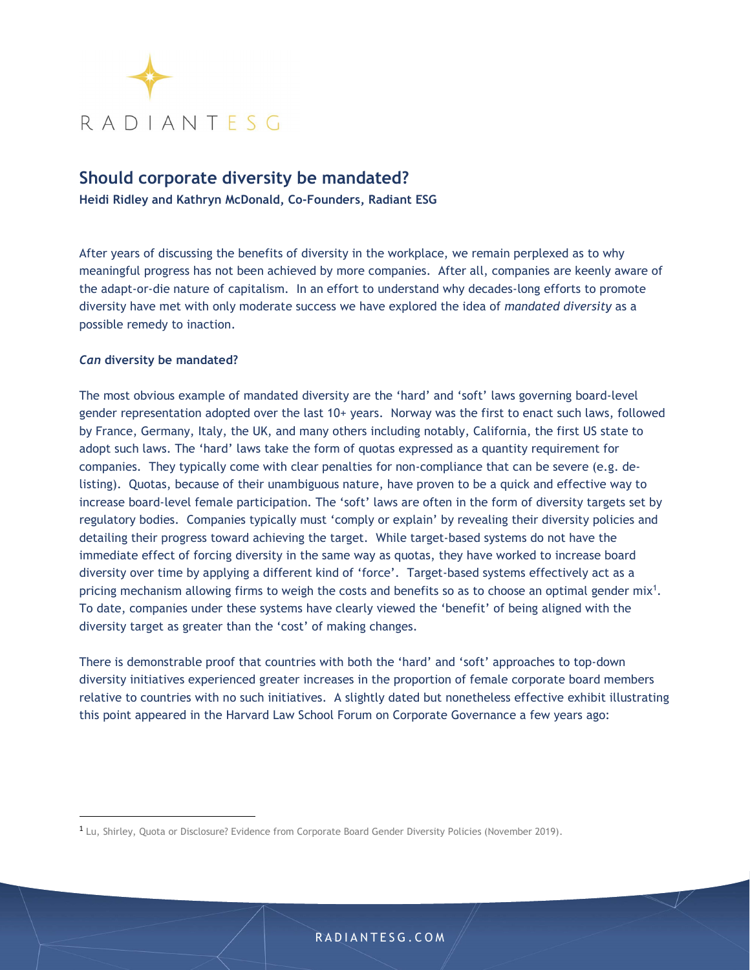

# Should corporate diversity be mandated?

Heidi Ridley and Kathryn McDonald, Co-Founders, Radiant ESG

After years of discussing the benefits of diversity in the workplace, we remain perplexed as to why meaningful progress has not been achieved by more companies. After all, companies are keenly aware of the adapt-or-die nature of capitalism. In an effort to understand why decades-long efforts to promote diversity have met with only moderate success we have explored the idea of mandated diversity as a possible remedy to inaction.

## Can diversity be mandated?

The most obvious example of mandated diversity are the 'hard' and 'soft' laws governing board-level gender representation adopted over the last 10+ years. Norway was the first to enact such laws, followed by France, Germany, Italy, the UK, and many others including notably, California, the first US state to adopt such laws. The 'hard' laws take the form of quotas expressed as a quantity requirement for companies. They typically come with clear penalties for non-compliance that can be severe (e.g. delisting). Quotas, because of their unambiguous nature, have proven to be a quick and effective way to increase board-level female participation. The 'soft' laws are often in the form of diversity targets set by regulatory bodies. Companies typically must 'comply or explain' by revealing their diversity policies and detailing their progress toward achieving the target. While target-based systems do not have the immediate effect of forcing diversity in the same way as quotas, they have worked to increase board diversity over time by applying a different kind of 'force'. Target-based systems effectively act as a pricing mechanism allowing firms to weigh the costs and benefits so as to choose an optimal gender  $mix<sup>1</sup>$ . . To date, companies under these systems have clearly viewed the 'benefit' of being aligned with the diversity target as greater than the 'cost' of making changes.

There is demonstrable proof that countries with both the 'hard' and 'soft' approaches to top-down diversity initiatives experienced greater increases in the proportion of female corporate board members relative to countries with no such initiatives. A slightly dated but nonetheless effective exhibit illustrating this point appeared in the Harvard Law School Forum on Corporate Governance a few years ago:

<sup>1</sup> Lu, Shirley, Quota or Disclosure? Evidence from Corporate Board Gender Diversity Policies (November 2019).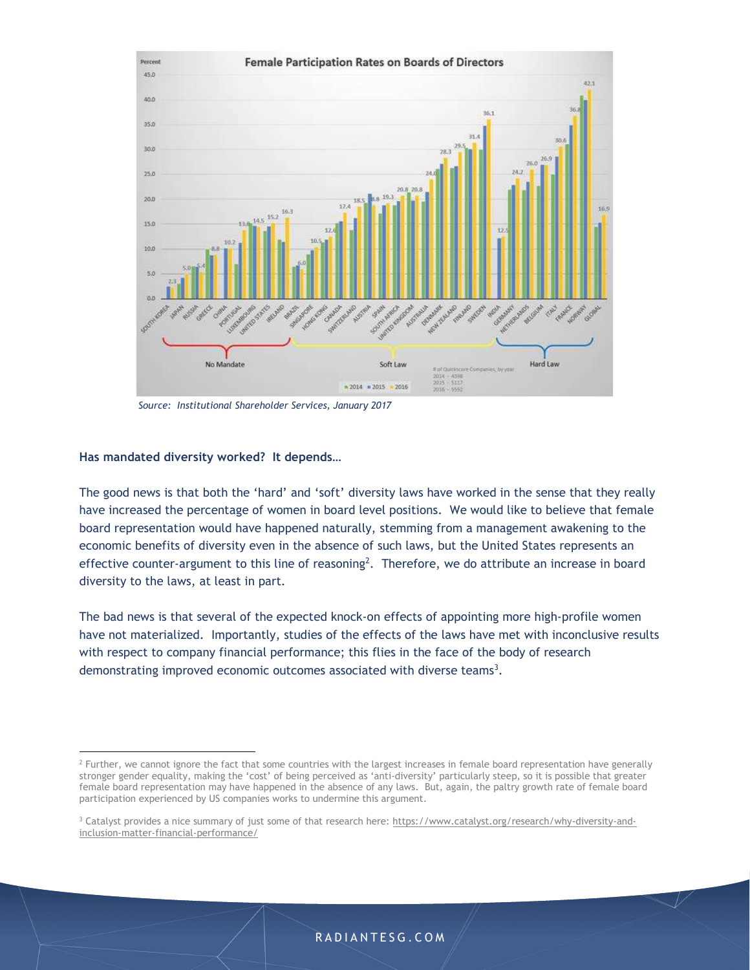

Source: Institutional Shareholder Services, January 2017

### Has mandated diversity worked? It depends…

The good news is that both the 'hard' and 'soft' diversity laws have worked in the sense that they really have increased the percentage of women in board level positions. We would like to believe that female board representation would have happened naturally, stemming from a management awakening to the economic benefits of diversity even in the absence of such laws, but the United States represents an effective counter-argument to this line of reasoning<sup>2</sup>. Therefore, we do attribute an increase in board diversity to the laws, at least in part.

The bad news is that several of the expected knock-on effects of appointing more high-profile women have not materialized. Importantly, studies of the effects of the laws have met with inconclusive results with respect to company financial performance; this flies in the face of the body of research demonstrating improved economic outcomes associated with diverse teams<sup>3</sup>. .

 $^2$  Further, we cannot ignore the fact that some countries with the largest increases in female board representation have generally stronger gender equality, making the 'cost' of being perceived as 'anti-diversity' particularly steep, so it is possible that greater female board representation may have happened in the absence of any laws. But, again, the paltry growth rate of female board participation experienced by US companies works to undermine this argument.

<sup>&</sup>lt;sup>3</sup> Catalyst provides a nice summary of just some of that research here: https://www.catalyst.org/research/why-diversity-andinclusion-matter-financial-performance/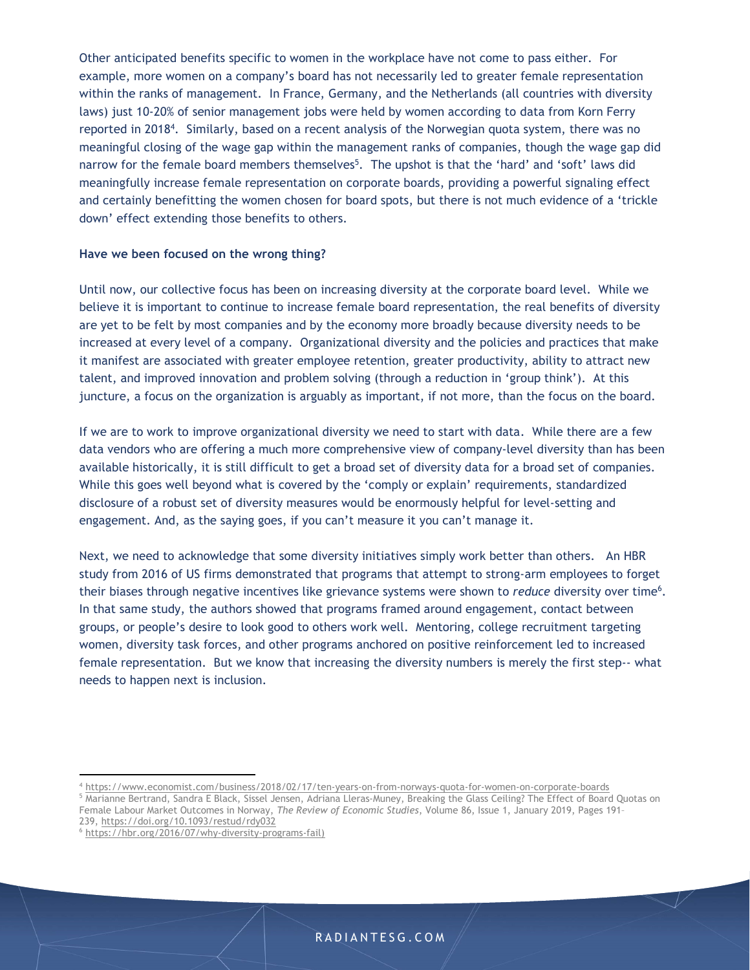Other anticipated benefits specific to women in the workplace have not come to pass either. For example, more women on a company's board has not necessarily led to greater female representation within the ranks of management. In France, Germany, and the Netherlands (all countries with diversity laws) just 10-20% of senior management jobs were held by women according to data from Korn Ferry reported in 2018<sup>4</sup>. Similarly, based on a recent analysis of the Norwegian quota system, there was no meaningful closing of the wage gap within the management ranks of companies, though the wage gap did narrow for the female board members themselves<sup>5</sup>. The upshot is that the 'hard' and 'soft' laws did meaningfully increase female representation on corporate boards, providing a powerful signaling effect and certainly benefitting the women chosen for board spots, but there is not much evidence of a 'trickle down' effect extending those benefits to others.

### Have we been focused on the wrong thing?

Until now, our collective focus has been on increasing diversity at the corporate board level. While we believe it is important to continue to increase female board representation, the real benefits of diversity are yet to be felt by most companies and by the economy more broadly because diversity needs to be increased at every level of a company. Organizational diversity and the policies and practices that make it manifest are associated with greater employee retention, greater productivity, ability to attract new talent, and improved innovation and problem solving (through a reduction in 'group think'). At this juncture, a focus on the organization is arguably as important, if not more, than the focus on the board.

If we are to work to improve organizational diversity we need to start with data. While there are a few data vendors who are offering a much more comprehensive view of company-level diversity than has been available historically, it is still difficult to get a broad set of diversity data for a broad set of companies. While this goes well beyond what is covered by the 'comply or explain' requirements, standardized disclosure of a robust set of diversity measures would be enormously helpful for level-setting and engagement. And, as the saying goes, if you can't measure it you can't manage it.

Next, we need to acknowledge that some diversity initiatives simply work better than others. An HBR study from 2016 of US firms demonstrated that programs that attempt to strong-arm employees to forget their biases through negative incentives like grievance systems were shown to *reduce* diversity over time<sup>6</sup>. . In that same study, the authors showed that programs framed around engagement, contact between groups, or people's desire to look good to others work well. Mentoring, college recruitment targeting women, diversity task forces, and other programs anchored on positive reinforcement led to increased female representation. But we know that increasing the diversity numbers is merely the first step-- what needs to happen next is inclusion.

<sup>4</sup> https://www.economist.com/business/2018/02/17/ten-years-on-from-norways-quota-for-women-on-corporate-boards

<sup>5</sup> Marianne Bertrand, Sandra E Black, Sissel Jensen, Adriana Lleras-Muney, Breaking the Glass Ceiling? The Effect of Board Quotas on Female Labour Market Outcomes in Norway, The Review of Economic Studies, Volume 86, Issue 1, January 2019, Pages 191-239, https://doi.org/10.1093/restud/rdy032

<sup>6</sup> https://hbr.org/2016/07/why-diversity-programs-fail)